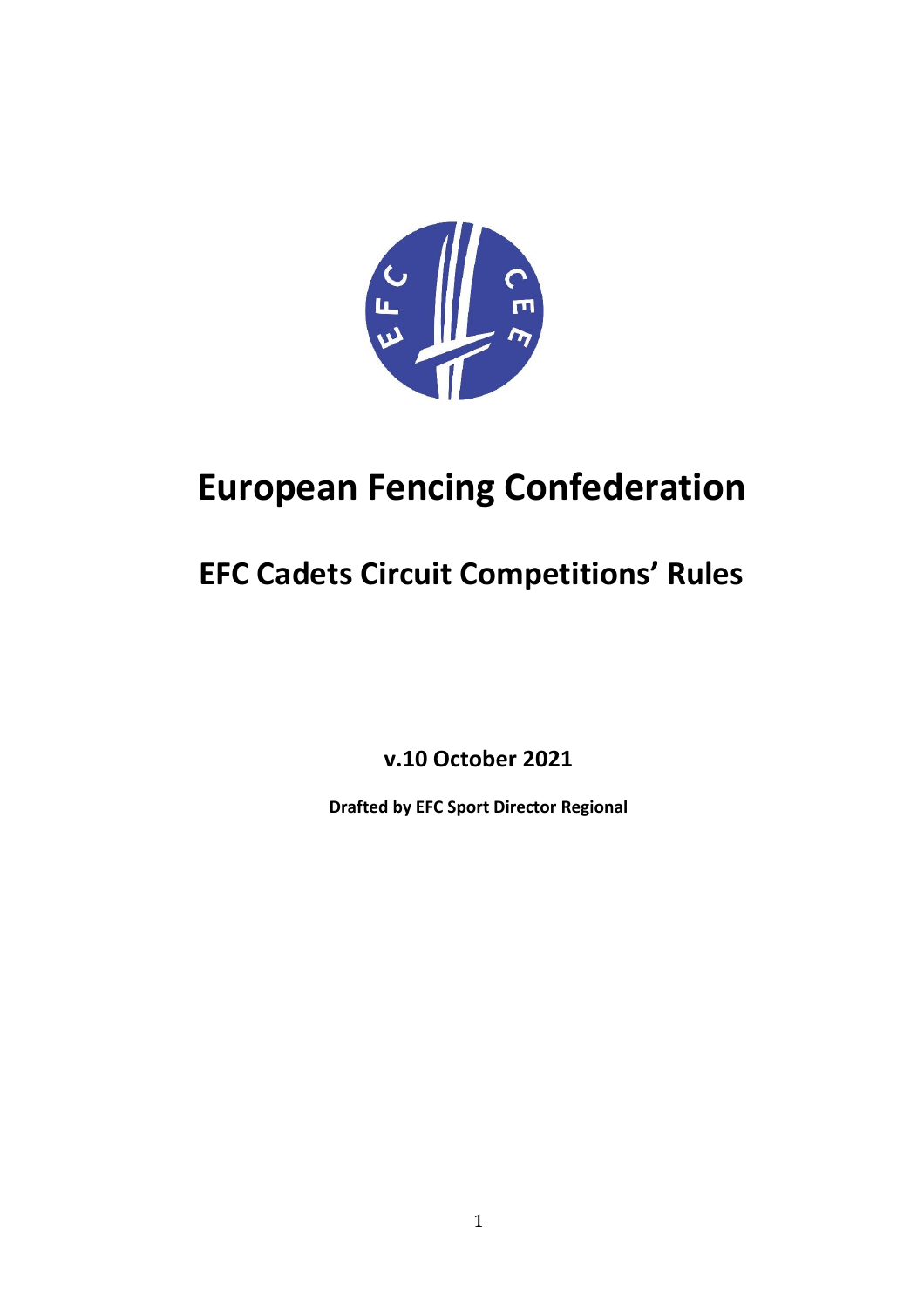

# **European Fencing Confederation**

## **EFC Cadets Circuit Competitions' Rules**

**v.10 October 2021**

**Drafted by EFC Sport Director Regional**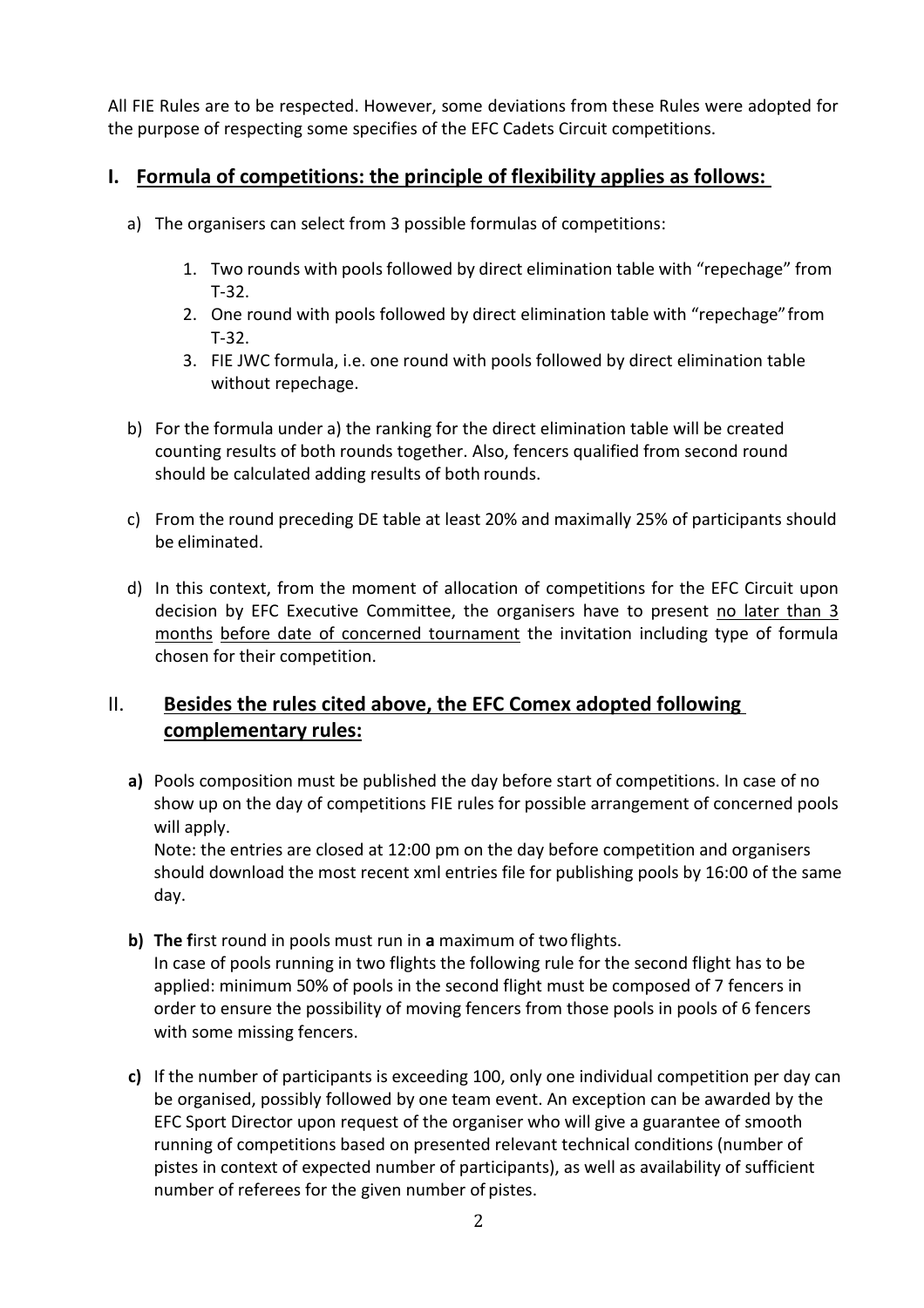All FIE Rules are to be respected. However, some deviations from these Rules were adopted for the purpose of respecting some specifies of the EFC Cadets Circuit competitions.

#### **I. Formula of competitions: the principle of flexibility applies as follows:**

- a) The organisers can select from 3 possible formulas of competitions:
	- 1. Two rounds with pools followed by direct elimination table with "repechage" from T-32.
	- 2. One round with pools followed by direct elimination table with "repechage"from T-32.
	- 3. FIE JWC formula, i.e. one round with pools followed by direct elimination table without repechage.
- b) For the formula under a) the ranking for the direct elimination table will be created counting results of both rounds together. Also, fencers qualified from second round should be calculated adding results of both rounds.
- c) From the round preceding DE table at least 20% and maximally 25% of participants should be eliminated.
- d) In this context, from the moment of allocation of competitions for the EFC Circuit upon decision by EFC Executive Committee, the organisers have to present no later than 3 months before date of concerned tournament the invitation including type of formula chosen for their competition.

## II. **Besides the rules cited above, the EFC Comex adopted following complementary rules:**

**a)** Pools composition must be published the day before start of competitions. In case of no show up on the day of competitions FIE rules for possible arrangement of concerned pools will apply.

Note: the entries are closed at 12:00 pm on the day before competition and organisers should download the most recent xml entries file for publishing pools by 16:00 of the same day.

- **b) The f**irst round in pools must run in **a** maximum of two flights. In case of pools running in two flights the following rule for the second flight has to be applied: minimum 50% of pools in the second flight must be composed of 7 fencers in order to ensure the possibility of moving fencers from those pools in pools of 6 fencers with some missing fencers.
- **c)** If the number of participants is exceeding 100, only one individual competition per day can be organised, possibly followed by one team event. An exception can be awarded by the EFC Sport Director upon request of the organiser who will give a guarantee of smooth running of competitions based on presented relevant technical conditions (number of pistes in context of expected number of participants), as well as availability of sufficient number of referees for the given number of pistes.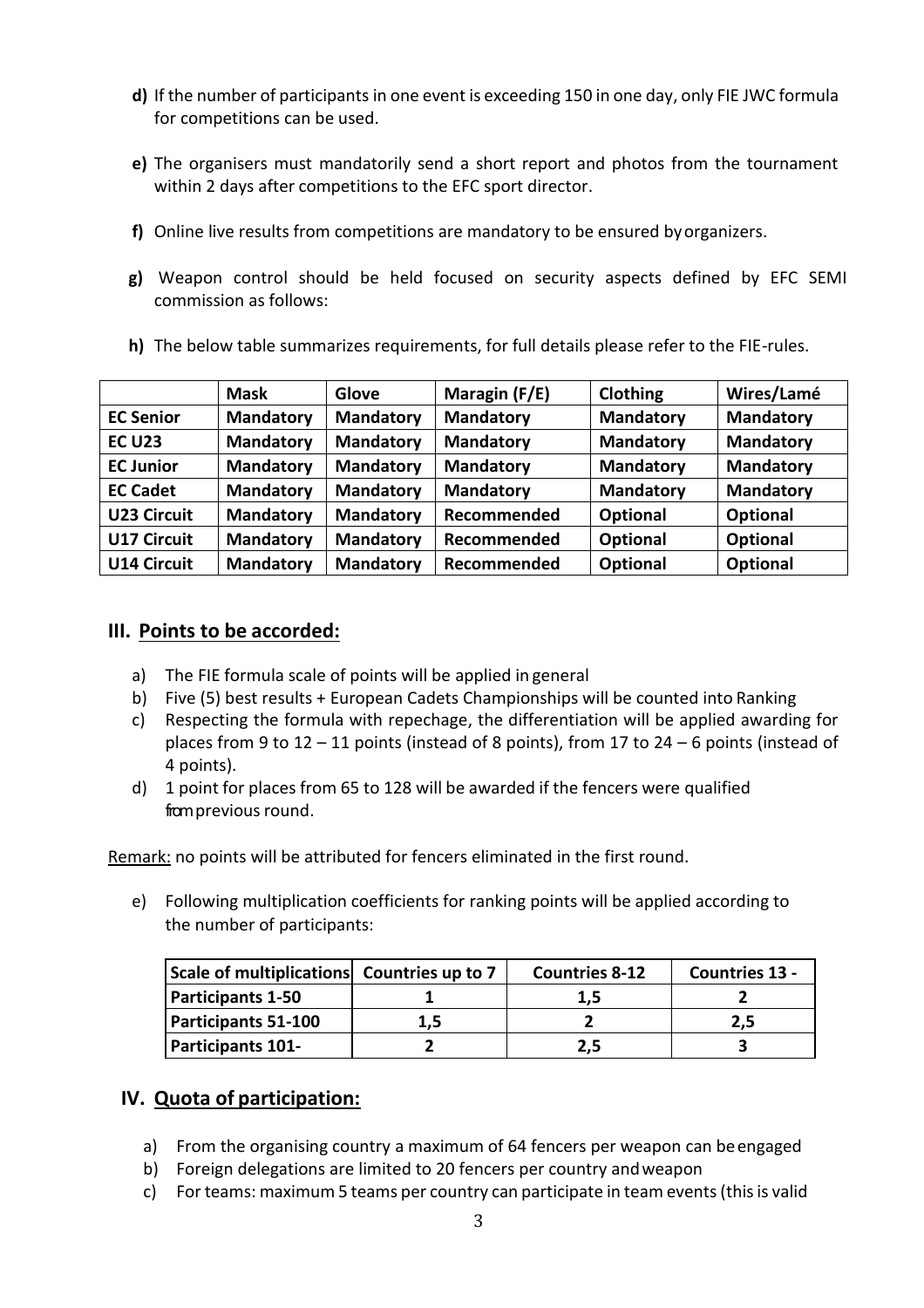- **d)** If the number of participants in one event is exceeding 150 in one day, only FIE JWC formula for competitions can be used.
- **e)** The organisers must mandatorily send a short report and photos from the tournament within 2 days after competitions to the EFC sport director.
- **f)** Online live results from competitions are mandatory to be ensured byorganizers.
- **g)** Weapon control should be held focused on security aspects defined by EFC SEMI commission as follows:
- **h)** The below table summarizes requirements, for full details please refer to the FIE-rules.

|                    | <b>Mask</b>      | Glove            | Maragin (F/E)    | Clothing         | Wires/Lamé       |
|--------------------|------------------|------------------|------------------|------------------|------------------|
| <b>EC Senior</b>   | <b>Mandatory</b> | <b>Mandatory</b> | <b>Mandatory</b> | <b>Mandatory</b> | <b>Mandatory</b> |
| <b>EC U23</b>      | <b>Mandatory</b> | <b>Mandatory</b> | <b>Mandatory</b> | <b>Mandatory</b> | <b>Mandatory</b> |
| <b>EC Junior</b>   | <b>Mandatory</b> | <b>Mandatory</b> | <b>Mandatory</b> | <b>Mandatory</b> | <b>Mandatory</b> |
| <b>EC Cadet</b>    | <b>Mandatory</b> | <b>Mandatory</b> | <b>Mandatory</b> | <b>Mandatory</b> | <b>Mandatory</b> |
| <b>U23 Circuit</b> | <b>Mandatory</b> | <b>Mandatory</b> | Recommended      | <b>Optional</b>  | <b>Optional</b>  |
| <b>U17 Circuit</b> | <b>Mandatory</b> | <b>Mandatory</b> | Recommended      | <b>Optional</b>  | <b>Optional</b>  |
| <b>U14 Circuit</b> | <b>Mandatory</b> | <b>Mandatory</b> | Recommended      | <b>Optional</b>  | Optional         |

## **III. Points to be accorded:**

- a) The FIE formula scale of points will be applied in general
- b) Five (5) best results + European Cadets Championships will be counted into Ranking
- c) Respecting the formula with repechage, the differentiation will be applied awarding for places from 9 to 12 – 11 points (instead of 8 points), from 17 to 24 – 6 points (instead of 4 points).
- d) 1 point for places from 65 to 128 will be awarded if the fencers were qualified from previous round.

Remark: no points will be attributed for fencers eliminated in the first round.

e) Following multiplication coefficients for ranking points will be applied according to the number of participants:

| Scale of multiplications Countries up to 7 |     | <b>Countries 8-12</b> | <b>Countries 13 -</b> |
|--------------------------------------------|-----|-----------------------|-----------------------|
| <b>Participants 1-50</b>                   |     | 1.5                   |                       |
| <b>Participants 51-100</b>                 | 1,5 |                       | 2.5                   |
| <b>Participants 101-</b>                   |     | 2.5                   |                       |

## **IV. Quota of participation:**

- a) From the organising country a maximum of 64 fencers per weapon can beengaged
- b) Foreign delegations are limited to 20 fencers per country andweapon
- c) For teams: maximum 5 teams per country can participate in team events (this is valid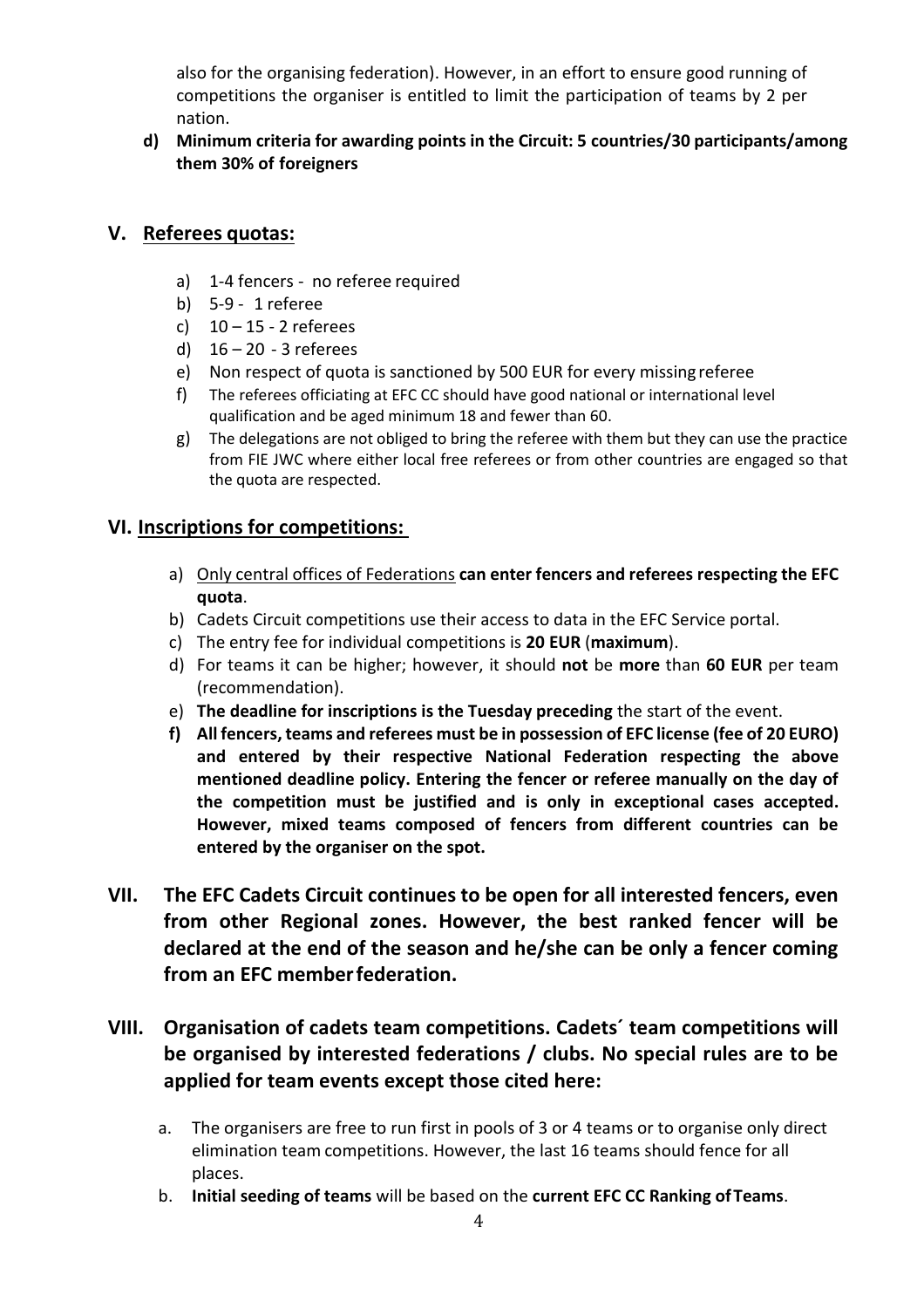also for the organising federation). However, in an effort to ensure good running of competitions the organiser is entitled to limit the participation of teams by 2 per nation.

**d) Minimum criteria for awarding points in the Circuit: 5 countries/30 participants/among them 30% of foreigners**

#### **V. Referees quotas:**

- a) 1-4 fencers no referee required
- b) 5-9 1 referee
- c)  $10 15 2$  referees
- d)  $16 20 3$  referees
- e) Non respect of quota is sanctioned by 500 EUR for every missing referee
- f) The referees officiating at EFC CC should have good national or international level qualification and be aged minimum 18 and fewer than 60.
- g) The delegations are not obliged to bring the referee with them but they can use the practice from FIE JWC where either local free referees or from other countries are engaged so that the quota are respected.

## **VI. Inscriptions for competitions:**

- a) Only central offices of Federations **can enter fencers and referees respecting the EFC quota**.
- b) Cadets Circuit competitions use their access to data in the EFC Service portal.
- c) The entry fee for individual competitions is **20 EUR** (**maximum**).
- d) For teams it can be higher; however, it should **not** be **more** than **60 EUR** per team (recommendation).
- e) **The deadline for inscriptions is the Tuesday preceding** the start of the event.
- **f) All fencers, teams and referees must be in possession of EFC license (fee of 20 EURO) and entered by their respective National Federation respecting the above mentioned deadline policy. Entering the fencer or referee manually on the day of the competition must be justified and is only in exceptional cases accepted. However, mixed teams composed of fencers from different countries can be entered by the organiser on the spot.**
- **VII. The EFC Cadets Circuit continues to be open for all interested fencers, even from other Regional zones. However, the best ranked fencer will be declared at the end of the season and he/she can be only a fencer coming from an EFC memberfederation.**
- **VIII. Organisation of cadets team competitions. Cadets´ team competitions will be organised by interested federations / clubs. No special rules are to be applied for team events except those cited here:**
	- a. The organisers are free to run first in pools of 3 or 4 teams or to organise only direct elimination team competitions. However, the last 16 teams should fence for all places.
	- b. **Initial seeding of teams** will be based on the **current EFC CC Ranking ofTeams**.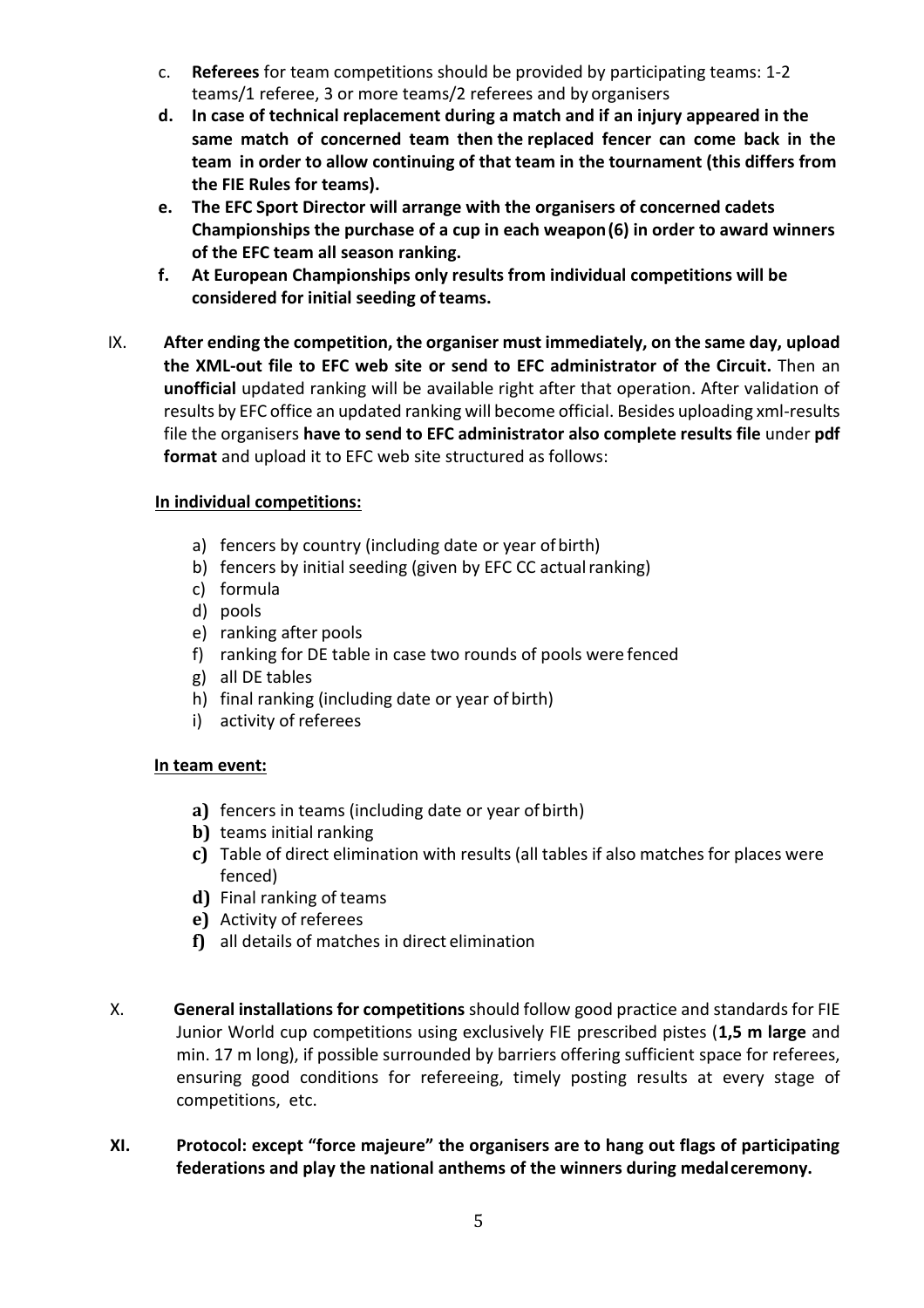- c. **Referees** for team competitions should be provided by participating teams: 1-2 teams/1 referee, 3 or more teams/2 referees and by organisers
- **d. In case of technical replacement during a match and if an injury appeared in the same match of concerned team then the replaced fencer can come back in the team in order to allow continuing of that team in the tournament (this differs from the FIE Rules for teams).**
- **e. The EFC Sport Director will arrange with the organisers of concerned cadets Championships the purchase of a cup in each weapon(6) in order to award winners of the EFC team all season ranking.**
- **f. At European Championships only results from individual competitions will be considered for initial seeding of teams.**
- IX. **After ending the competition, the organiser must immediately, on the same day, upload the XML-out file to EFC web site or send to EFC administrator of the Circuit.** Then an **unofficial** updated ranking will be available right after that operation. After validation of results by EFC office an updated ranking will become official. Besides uploading xml-results file the organisers **have to send to EFC administrator also complete results file** under **pdf format** and upload it to EFC web site structured as follows:

#### **In individual competitions:**

- a) fencers by country (including date or year of birth)
- b) fencers by initial seeding (given by EFC CC actual ranking)
- c) formula
- d) pools
- e) ranking after pools
- f) ranking for DE table in case two rounds of pools were fenced
- g) all DE tables
- h) final ranking (including date or year of birth)
- i) activity of referees

#### **In team event:**

- **a)** fencers in teams (including date or year of birth)
- **b)** teams initial ranking
- **c)** Table of direct elimination with results (all tables if also matches for places were fenced)
- **d)** Final ranking of teams
- **e)** Activity of referees
- **f)** all details of matches in direct elimination
- X. **General installations for competitions** should follow good practice and standards for FIE Junior World cup competitions using exclusively FIE prescribed pistes (**1,5 m large** and min. 17 m long), if possible surrounded by barriers offering sufficient space for referees, ensuring good conditions for refereeing, timely posting results at every stage of competitions, etc.
- **XI. Protocol: except "force majeure" the organisers are to hang out flags of participating federations and play the national anthems of the winners during medalceremony.**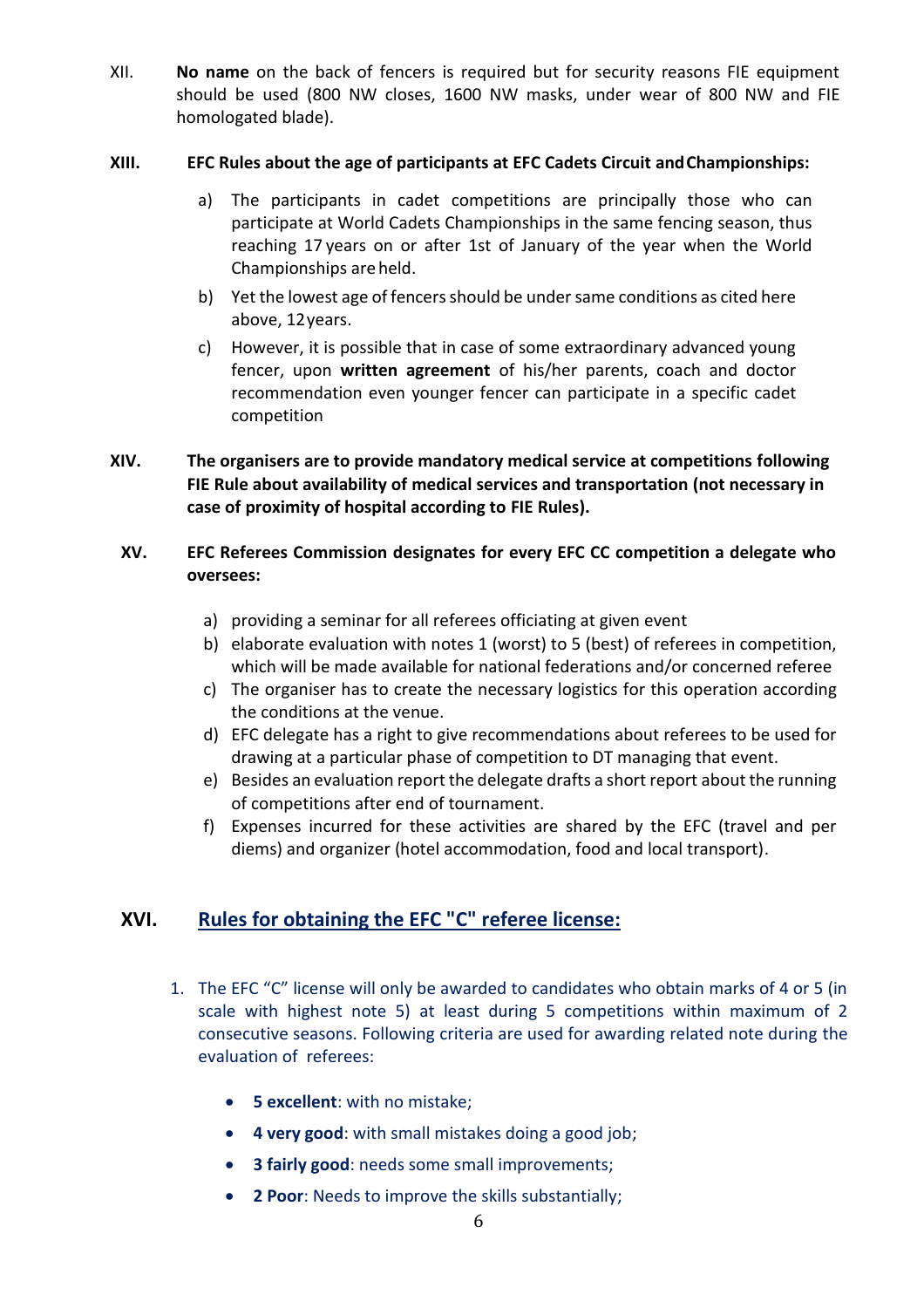XII. **No name** on the back of fencers is required but for security reasons FIE equipment should be used (800 NW closes, 1600 NW masks, under wear of 800 NW and FIE homologated blade).

#### **XIII. EFC Rules about the age of participants at EFC Cadets Circuit andChampionships:**

- a) The participants in cadet competitions are principally those who can participate at World Cadets Championships in the same fencing season, thus reaching 17 years on or after 1st of January of the year when the World Championships are held.
- b) Yet the lowest age of fencers should be under same conditions as cited here above, 12years.
- c) However, it is possible that in case of some extraordinary advanced young fencer, upon **written agreement** of his/her parents, coach and doctor recommendation even younger fencer can participate in a specific cadet competition
- **XIV. The organisers are to provide mandatory medical service at competitions following FIE Rule about availability of medical services and transportation (not necessary in case of proximity of hospital according to FIE Rules).**

#### **XV. EFC Referees Commission designates for every EFC CC competition a delegate who oversees:**

- a) providing a seminar for all referees officiating at given event
- b) elaborate evaluation with notes 1 (worst) to 5 (best) of referees in competition, which will be made available for national federations and/or concerned referee
- c) The organiser has to create the necessary logistics for this operation according the conditions at the venue.
- d) EFC delegate has a right to give recommendations about referees to be used for drawing at a particular phase of competition to DT managing that event.
- e) Besides an evaluation report the delegate drafts a short report about the running of competitions after end of tournament.
- f) Expenses incurred for these activities are shared by the EFC (travel and per diems) and organizer (hotel accommodation, food and local transport).

## **XVI. Rules for obtaining the EFC "C" referee license:**

- 1. The EFC "C" license will only be awarded to candidates who obtain marks of 4 or 5 (in scale with highest note 5) at least during 5 competitions within maximum of 2 consecutive seasons. Following criteria are used for awarding related note during the evaluation of referees:
	- **5 excellent**: with no mistake;
	- **4 very good**: with small mistakes doing a good job;
	- **3 fairly good**: needs some small improvements;
	- **2 Poor**: Needs to improve the skills substantially;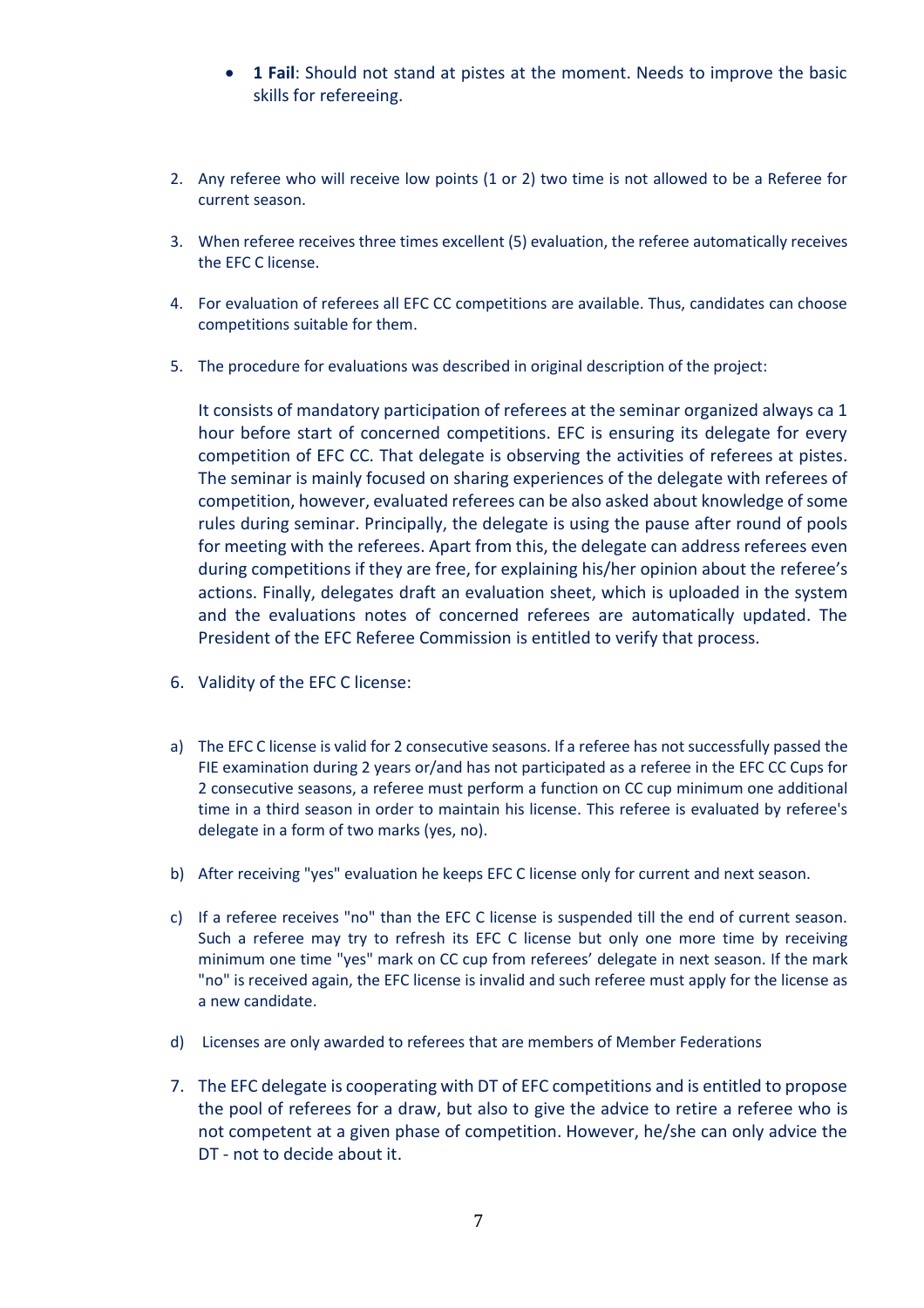- **1 Fail**: Should not stand at pistes at the moment. Needs to improve the basic skills for refereeing.
- 2. Any referee who will receive low points (1 or 2) two time is not allowed to be a Referee for current season.
- 3. When referee receives three times excellent (5) evaluation, the referee automatically receives the EFC C license.
- 4. For evaluation of referees all EFC CC competitions are available. Thus, candidates can choose competitions suitable for them.
- 5. The procedure for evaluations was described in original description of the project:

It consists of mandatory participation of referees at the seminar organized always ca 1 hour before start of concerned competitions. EFC is ensuring its delegate for every competition of EFC CC. That delegate is observing the activities of referees at pistes. The seminar is mainly focused on sharing experiences of the delegate with referees of competition, however, evaluated referees can be also asked about knowledge of some rules during seminar. Principally, the delegate is using the pause after round of pools for meeting with the referees. Apart from this, the delegate can address referees even during competitions if they are free, for explaining his/her opinion about the referee's actions. Finally, delegates draft an evaluation sheet, which is uploaded in the system and the evaluations notes of concerned referees are automatically updated. The President of the EFC Referee Commission is entitled to verify that process.

- 6. Validity of the EFC C license:
- a) The EFC C license is valid for 2 consecutive seasons. If a referee has not successfully passed the FIE examination during 2 years or/and has not participated as a referee in the EFC CC Cups for 2 consecutive seasons, a referee must perform a function on CC cup minimum one additional time in a third season in order to maintain his license. This referee is evaluated by referee's delegate in a form of two marks (yes, no).
- b) After receiving "yes" evaluation he keeps EFC C license only for current and next season.
- c) If a referee receives "no" than the EFC C license is suspended till the end of current season. Such a referee may try to refresh its EFC C license but only one more time by receiving minimum one time "yes" mark on CC cup from referees' delegate in next season. If the mark "no" is received again, the EFC license is invalid and such referee must apply for the license as a new candidate.
- d) Licenses are only awarded to referees that are members of Member Federations
- 7. The EFC delegate is cooperating with DT of EFC competitions and is entitled to propose the pool of referees for a draw, but also to give the advice to retire a referee who is not competent at a given phase of competition. However, he/she can only advice the DT - not to decide about it.